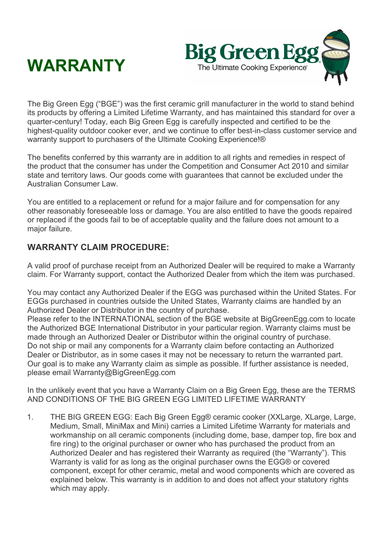



The Big Green Egg ("BGE") was the first ceramic grill manufacturer in the world to stand behind its products by offering a Limited Lifetime Warranty, and has maintained this standard for over a quarter-century! Today, each Big Green Egg is carefully inspected and certified to be the highest-quality outdoor cooker ever, and we continue to offer best-in-class customer service and warranty support to purchasers of the Ultimate Cooking Experience!®

The benefits conferred by this warranty are in addition to all rights and remedies in respect of the product that the consumer has under the Competition and Consumer Act 2010 and similar state and territory laws. Our goods come with guarantees that cannot be excluded under the Australian Consumer Law.

You are entitled to a replacement or refund for a major failure and for compensation for any other reasonably foreseeable loss or damage. You are also entitled to have the goods repaired or replaced if the goods fail to be of acceptable quality and the failure does not amount to a major failure.

## **WARRANTY CLAIM PROCEDURE:**

A valid proof of purchase receipt from an Authorized Dealer will be required to make a Warranty claim. For Warranty support, contact the Authorized Dealer from which the item was purchased.

You may contact any Authorized Dealer if the EGG was purchased within the United States. For EGGs purchased in countries outside the United States, Warranty claims are handled by an Authorized Dealer or Distributor in the country of purchase.

Please refer to the INTERNATIONAL section of the BGE website at BigGreenEgg.com to locate the Authorized BGE International Distributor in your particular region. Warranty claims must be made through an Authorized Dealer or Distributor within the original country of purchase. Do not ship or mail any components for a Warranty claim before contacting an Authorized Dealer or Distributor, as in some cases it may not be necessary to return the warranted part. Our goal is to make any Warranty claim as simple as possible. If further assistance is needed, please email Warranty@BigGreenEgg.com

In the unlikely event that you have a Warranty Claim on a Big Green Egg, these are the TERMS AND CONDITIONS OF THE BIG GREEN EGG LIMITED LIFETIME WARRANTY

1. THE BIG GREEN EGG: Each Big Green Egg® ceramic cooker (XXLarge, XLarge, Large, Medium, Small, MiniMax and Mini) carries a Limited Lifetime Warranty for materials and workmanship on all ceramic components (including dome, base, damper top, fire box and fire ring) to the original purchaser or owner who has purchased the product from an Authorized Dealer and has registered their Warranty as required (the "Warranty"). This Warranty is valid for as long as the original purchaser owns the EGG® or covered component, except for other ceramic, metal and wood components which are covered as explained below. This warranty is in addition to and does not affect your statutory rights which may apply.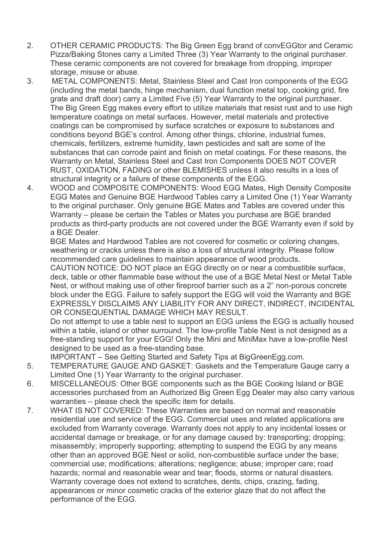- 2. OTHER CERAMIC PRODUCTS: The Big Green Egg brand of convEGGtor and Ceramic Pizza/Baking Stones carry a Limited Three (3) Year Warranty to the original purchaser. These ceramic components are not covered for breakage from dropping, improper storage, misuse or abuse.
- 3. METAL COMPONENTS: Metal, Stainless Steel and Cast Iron components of the EGG (including the metal bands, hinge mechanism, dual function metal top, cooking grid, fire grate and draft door) carry a Limited Five (5) Year Warranty to the original purchaser. The Big Green Egg makes every effort to utilize materials that resist rust and to use high temperature coatings on metal surfaces. However, metal materials and protective coatings can be compromised by surface scratches or exposure to substances and conditions beyond BGE's control. Among other things, chlorine, industrial fumes, chemicals, fertilizers, extreme humidity, lawn pesticides and salt are some of the substances that can corrode paint and finish on metal coatings. For these reasons, the Warranty on Metal, Stainless Steel and Cast Iron Components DOES NOT COVER RUST, OXIDATION, FADING or other BLEMISHES unless it also results in a loss of structural integrity or a failure of these components of the EGG.
- 4. WOOD and COMPOSITE COMPONENTS: Wood EGG Mates, High Density Composite EGG Mates and Genuine BGE Hardwood Tables carry a Limited One (1) Year Warranty to the original purchaser. Only genuine BGE Mates and Tables are covered under this Warranty – please be certain the Tables or Mates you purchase are BGE branded products as third-party products are not covered under the BGE Warranty even if sold by a BGE Dealer.

BGE Mates and Hardwood Tables are not covered for cosmetic or coloring changes, weathering or cracks unless there is also a loss of structural integrity. Please follow recommended care guidelines to maintain appearance of wood products.

CAUTION NOTICE: DO NOT place an EGG directly on or near a combustible surface, deck, table or other flammable base without the use of a BGE Metal Nest or Metal Table Nest, or without making use of other fireproof barrier such as a 2" non-porous concrete block under the EGG. Failure to safely support the EGG will void the Warranty and BGE EXPRESSLY DISCLAIMS ANY LIABILITY FOR ANY DIRECT, INDIRECT, INCIDENTAL OR CONSEQUENTIAL DAMAGE WHICH MAY RESULT.

Do not attempt to use a table nest to support an EGG unless the EGG is actually housed within a table, island or other surround. The low-profile Table Nest is not designed as a free-standing support for your EGG! Only the Mini and MiniMax have a low-profile Nest designed to be used as a free-standing base.

IMPORTANT – See Getting Started and Safety Tips at BigGreenEgg.com.

- 5. TEMPERATURE GAUGE AND GASKET: Gaskets and the Temperature Gauge carry a Limited One (1) Year Warranty to the original purchaser.
- 6. MISCELLANEOUS: Other BGE components such as the BGE Cooking Island or BGE accessories purchased from an Authorized Big Green Egg Dealer may also carry various warranties – please check the specific item for details.
- 7. WHAT IS NOT COVERED: These Warranties are based on normal and reasonable residential use and service of the EGG. Commercial uses and related applications are excluded from Warranty coverage. Warranty does not apply to any incidental losses or accidental damage or breakage, or for any damage caused by: transporting; dropping; misassembly; improperly supporting; attempting to suspend the EGG by any means other than an approved BGE Nest or solid, non-combustible surface under the base; commercial use; modifications; alterations; negligence; abuse; improper care; road hazards; normal and reasonable wear and tear; floods, storms or natural disasters. Warranty coverage does not extend to scratches, dents, chips, crazing, fading, appearances or minor cosmetic cracks of the exterior glaze that do not affect the performance of the EGG.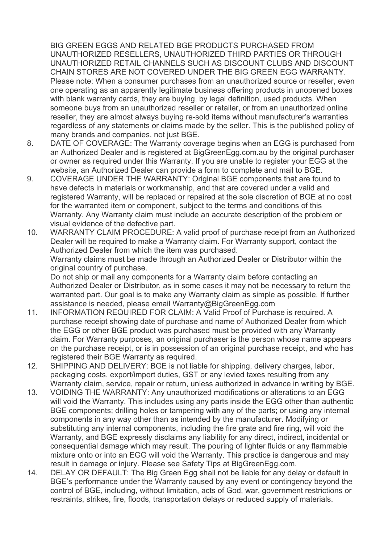BIG GREEN EGGS AND RELATED BGE PRODUCTS PURCHASED FROM UNAUTHORIZED RESELLERS, UNAUTHORIZED THIRD PARTIES OR THROUGH UNAUTHORIZED RETAIL CHANNELS SUCH AS DISCOUNT CLUBS AND DISCOUNT CHAIN STORES ARE NOT COVERED UNDER THE BIG GREEN EGG WARRANTY. Please note: When a consumer purchases from an unauthorized source or reseller, even one operating as an apparently legitimate business offering products in unopened boxes with blank warranty cards, they are buying, by legal definition, used products. When someone buys from an unauthorized reseller or retailer, or from an unauthorized online reseller, they are almost always buying re-sold items without manufacturer's warranties regardless of any statements or claims made by the seller. This is the published policy of many brands and companies, not just BGE.

- 8. DATE OF COVERAGE: The Warranty coverage begins when an EGG is purchased from an Authorized Dealer and is registered at BigGreenEgg.com.au by the original purchaser or owner as required under this Warranty. If you are unable to register your EGG at the website, an Authorized Dealer can provide a form to complete and mail to BGE.
- 9. COVERAGE UNDER THE WARRANTY: Original BGE components that are found to have defects in materials or workmanship, and that are covered under a valid and registered Warranty, will be replaced or repaired at the sole discretion of BGE at no cost for the warranted item or component, subject to the terms and conditions of this Warranty. Any Warranty claim must include an accurate description of the problem or visual evidence of the defective part.
- 10. WARRANTY CLAIM PROCEDURE: A valid proof of purchase receipt from an Authorized Dealer will be required to make a Warranty claim. For Warranty support, contact the Authorized Dealer from which the item was purchased. Warranty claims must be made through an Authorized Dealer or Distributor within the original country of purchase.

Do not ship or mail any components for a Warranty claim before contacting an Authorized Dealer or Distributor, as in some cases it may not be necessary to return the warranted part. Our goal is to make any Warranty claim as simple as possible. If further assistance is needed, please email Warranty@BigGreenEgg.com

- 11. INFORMATION REQUIRED FOR CLAIM: A Valid Proof of Purchase is required. A purchase receipt showing date of purchase and name of Authorized Dealer from which the EGG or other BGE product was purchased must be provided with any Warranty claim. For Warranty purposes, an original purchaser is the person whose name appears on the purchase receipt, or is in possession of an original purchase receipt, and who has registered their BGE Warranty as required.
- 12. SHIPPING AND DELIVERY: BGE is not liable for shipping, delivery charges, labor, packaging costs, export/import duties, GST or any levied taxes resulting from any Warranty claim, service, repair or return, unless authorized in advance in writing by BGE.
- 13. VOIDING THE WARRANTY: Any unauthorized modifications or alterations to an EGG will void the Warranty. This includes using any parts inside the EGG other than authentic BGE components; drilling holes or tampering with any of the parts; or using any internal components in any way other than as intended by the manufacturer. Modifying or substituting any internal components, including the fire grate and fire ring, will void the Warranty, and BGE expressly disclaims any liability for any direct, indirect, incidental or consequential damage which may result. The pouring of lighter fluids or any flammable mixture onto or into an EGG will void the Warranty. This practice is dangerous and may result in damage or injury. Please see Safety Tips at BigGreenEgg.com.
- 14. DELAY OR DEFAULT: The Big Green Egg shall not be liable for any delay or default in BGE's performance under the Warranty caused by any event or contingency beyond the control of BGE, including, without limitation, acts of God, war, government restrictions or restraints, strikes, fire, floods, transportation delays or reduced supply of materials.